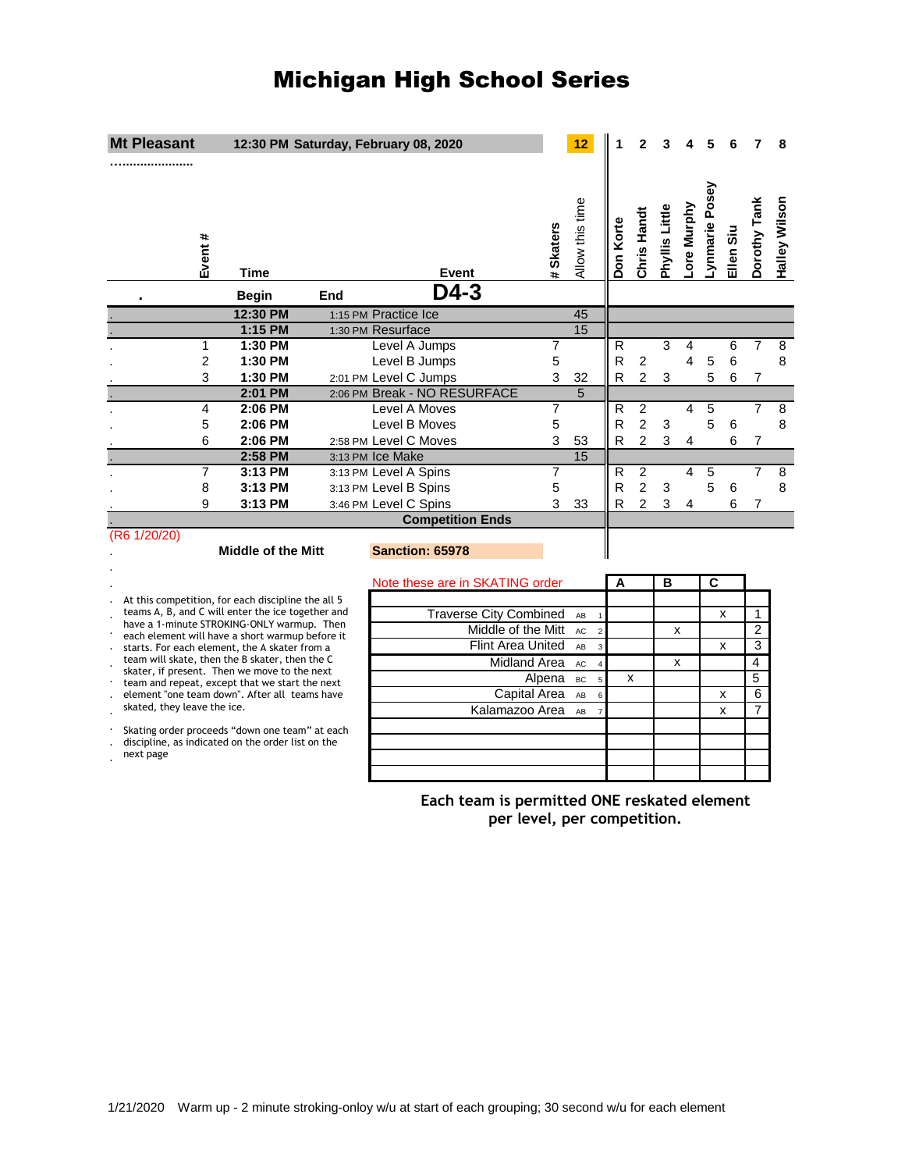# Michigan High School Series

| <b>Mt Pleasant</b>                                                                              |                           |     | 12:30 PM Saturday, February 08, 2020           |                                             |                     | 12                    |           |                                  |                |             |                |           |                | 8             |
|-------------------------------------------------------------------------------------------------|---------------------------|-----|------------------------------------------------|---------------------------------------------|---------------------|-----------------------|-----------|----------------------------------|----------------|-------------|----------------|-----------|----------------|---------------|
| Event #                                                                                         | Time                      |     | Event                                          |                                             | <b>Skaters</b>      | Allow this time       | Don Korte | Chris Handt                      | Phyllis Little | -ore Murphy | Lynmarie Posey | Ellen Siu | Dorothy Tank   | Halley Wilson |
|                                                                                                 | <b>Begin</b>              | End | $D4-3$                                         |                                             |                     |                       |           |                                  |                |             |                |           |                |               |
|                                                                                                 | 12:30 PM                  |     | 1:15 PM Practice Ice                           |                                             |                     | 45                    |           |                                  |                |             |                |           |                |               |
|                                                                                                 | 1:15 PM                   |     | 1:30 PM Resurface                              |                                             |                     | 15                    |           |                                  |                |             |                |           |                |               |
| 1                                                                                               | 1:30 PM                   |     | Level A Jumps                                  |                                             | 7                   |                       | R         |                                  | 3              | 4           |                | 6         | 7              | 8             |
| $\overline{2}$                                                                                  | 1:30 PM                   |     | Level B Jumps                                  |                                             | 5                   |                       | R         | $\overline{2}$                   |                | 4           | 5              | 6         |                | 8             |
| 3                                                                                               | 1:30 PM                   |     | 2:01 PM Level C Jumps                          |                                             | 3                   | 32                    | R         | $\overline{2}$                   | 3              |             | 5              | 6         | 7              |               |
|                                                                                                 | 2:01 PM                   |     | 2:06 PM Break - NO RESURFACE                   |                                             |                     | 5                     |           |                                  |                |             |                |           |                |               |
| 4                                                                                               | 2:06 PM                   |     | Level A Moves                                  |                                             | 7                   |                       | R         | $\overline{2}$                   |                | 4           | 5              |           | 7              | 8             |
| 5                                                                                               | 2:06 PM                   |     | Level B Moves                                  |                                             | 5                   |                       | R         | $\overline{2}$                   | 3              |             | 5              | 6         |                | 8             |
| 6                                                                                               | 2:06 PM                   |     | 2:58 PM Level C Moves                          |                                             | 3                   | 53<br>$\overline{15}$ | R         | $\overline{2}$                   | 3              | 4           |                | 6         | $\overline{7}$ |               |
|                                                                                                 | 2:58 PM                   |     | 3:13 PM Ice Make                               |                                             |                     |                       |           |                                  |                |             |                |           | $\overline{7}$ |               |
| 7<br>8                                                                                          | 3:13 PM<br>3:13 PM        |     | 3:13 PM Level A Spins<br>3:13 PM Level B Spins |                                             | $\overline{7}$<br>5 |                       | R<br>R    | $\overline{2}$<br>$\overline{2}$ | 3              | 4           | 5<br>5         | 6         |                | 8<br>8        |
| 9                                                                                               | 3:13 PM                   |     | 3:46 PM Level C Spins                          |                                             | 3                   | 33                    | R         | $\overline{2}$                   | 3              | 4           |                | 6         | 7              |               |
|                                                                                                 |                           |     | <b>Competition Ends</b>                        |                                             |                     |                       |           |                                  |                |             |                |           |                |               |
| (R6 1/20/20)                                                                                    |                           |     |                                                |                                             |                     |                       |           |                                  |                |             |                |           |                |               |
|                                                                                                 | <b>Middle of the Mitt</b> |     | <b>Sanction: 65978</b>                         |                                             |                     |                       |           |                                  |                |             |                |           |                |               |
|                                                                                                 |                           |     | Note these are in SKATING order                |                                             |                     |                       | A         |                                  | в              |             | С              |           |                |               |
| At this competition, for each discipline the all 5                                              |                           |     |                                                |                                             |                     |                       |           |                                  |                |             |                |           |                |               |
| teams A, B, and C will enter the ice together and<br>have a 1-minute STROKING-ONLY warmup. Then |                           |     |                                                | <b>Traverse City Combined</b>               |                     | AB                    |           |                                  |                |             |                | x         | 1              |               |
| each element will have a short warmup before it                                                 |                           |     |                                                | Middle of the Mitt                          |                     | AC<br>$\overline{2}$  |           |                                  | x              |             |                |           | $\overline{2}$ |               |
| starts. For each element, the A skater from a<br>$\cdot$                                        |                           |     |                                                | <b>Flint Area United</b>                    |                     | AB<br>$\overline{3}$  |           |                                  |                |             |                | x         | 3              |               |
| team will skate, then the B skater, then the C<br>skater, if present. Then we move to the next  |                           |     | Midland Area<br><b>AC</b>                      |                                             |                     | $\overline{4}$        |           |                                  | x              |             |                |           | $\overline{4}$ |               |
| team and repeat, except that we start the next                                                  |                           |     |                                                |                                             | Alpena              | BC                    |           | x                                |                |             |                |           | $\overline{5}$ |               |
| element "one team down". After all teams have<br>skated, they leave the ice.                    |                           |     |                                                | Capital Area                                |                     | AB<br>6               |           |                                  |                |             |                | x         | $\overline{6}$ |               |
|                                                                                                 |                           |     |                                                | Kalamazoo Area                              |                     | AB<br>$\overline{7}$  |           |                                  |                |             |                | x         | 7              |               |
| Skating order proceeds "down one team" at each                                                  |                           |     |                                                |                                             |                     |                       |           |                                  |                |             |                |           |                |               |
| discipline, as indicated on the order list on the<br>next page                                  |                           |     |                                                |                                             |                     |                       |           |                                  |                |             |                |           |                |               |
|                                                                                                 |                           |     |                                                |                                             |                     |                       |           |                                  |                |             |                |           |                |               |
|                                                                                                 |                           |     |                                                |                                             |                     |                       |           |                                  |                |             |                |           |                |               |
|                                                                                                 |                           |     |                                                | Each team is permitted ONE reskated element |                     |                       |           |                                  |                |             |                |           |                |               |
|                                                                                                 |                           |     |                                                | per level, per competition.                 |                     |                       |           |                                  |                |             |                |           |                |               |